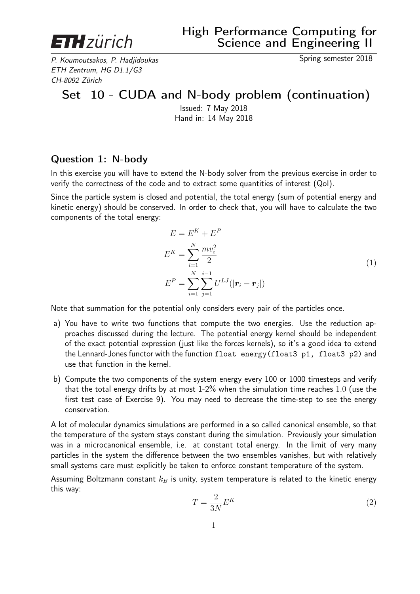

P. Koumoutsakos. P. Hadiidoukas Spring semester 2018 ETH Zentrum, HG D1.1/G3 CH-8092 Zürich

## Set 10 - CUDA and N-body problem (continuation)

Issued: 7 May 2018 Hand in: 14 May 2018

## Question 1: N-body

In this exercise you will have to extend the N-body solver from the previous exercise in order to verify the correctness of the code and to extract some quantities of interest (QoI).

Since the particle system is closed and potential, the total energy (sum of potential energy and kinetic energy) should be conserved. In order to check that, you will have to calculate the two components of the total energy:

$$
E = E^{K} + E^{P}
$$
  
\n
$$
E^{K} = \sum_{i=1}^{N} \frac{m v_{i}^{2}}{2}
$$
  
\n
$$
E^{P} = \sum_{i=1}^{N} \sum_{j=1}^{i-1} U^{LJ} (|\mathbf{r}_{i} - \mathbf{r}_{j}|)
$$
\n(1)

Note that summation for the potential only considers every pair of the particles once.

- a) You have to write two functions that compute the two energies. Use the reduction approaches discussed during the lecture. The potential energy kernel should be independent of the exact potential expression (just like the forces kernels), so it's a good idea to extend the Lennard-Jones functor with the function float energy(float3 p1, float3 p2) and use that function in the kernel.
- b) Compute the two components of the system energy every 100 or 1000 timesteps and verify that the total energy drifts by at most 1-2% when the simulation time reaches 1.0 (use the first test case of Exercise 9). You may need to decrease the time-step to see the energy conservation.

A lot of molecular dynamics simulations are performed in a so called canonical ensemble, so that the temperature of the system stays constant during the simulation. Previously your simulation was in a microcanonical ensemble, i.e. at constant total energy. In the limit of very many particles in the system the difference between the two ensembles vanishes, but with relatively small systems care must explicitly be taken to enforce constant temperature of the system.

Assuming Boltzmann constant  $k_B$  is unity, system temperature is related to the kinetic energy this way:

$$
T = \frac{2}{3N} E^K \tag{2}
$$